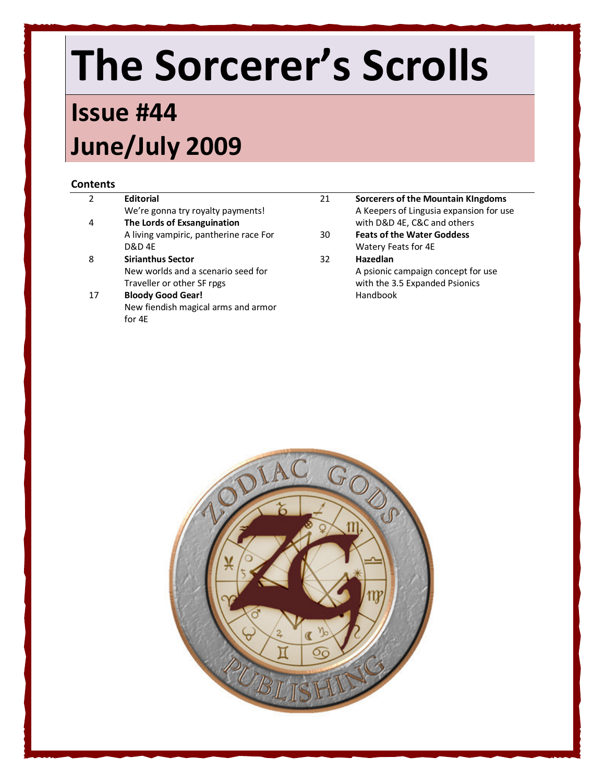# The Sorcerer's Scrolls

### Issue #44 June/July 2009

#### **Contents**

| We're gonna try royalty payments!<br>The Lords of Exsanguination<br>with D&D 4E, C&C and others<br>4<br>A living vampiric, pantherine race For<br><b>Feats of the Water Goddess</b><br>30<br><b>D&amp;D 4E</b><br>Watery Feats for 4E<br><b>Sirianthus Sector</b><br>Hazedlan<br>8<br>32<br>New worlds and a scenario seed for<br>A psionic campaign concept for use<br>with the 3.5 Expanded Psionics<br>Traveller or other SF rpgs<br><b>Bloody Good Gear!</b><br>Handbook<br>17 | <b>Sorcerers of the Mountain Kingdoms</b> |
|------------------------------------------------------------------------------------------------------------------------------------------------------------------------------------------------------------------------------------------------------------------------------------------------------------------------------------------------------------------------------------------------------------------------------------------------------------------------------------|-------------------------------------------|
|                                                                                                                                                                                                                                                                                                                                                                                                                                                                                    | A Keepers of Lingusia expansion for use   |
|                                                                                                                                                                                                                                                                                                                                                                                                                                                                                    |                                           |
|                                                                                                                                                                                                                                                                                                                                                                                                                                                                                    |                                           |
|                                                                                                                                                                                                                                                                                                                                                                                                                                                                                    |                                           |
|                                                                                                                                                                                                                                                                                                                                                                                                                                                                                    |                                           |
|                                                                                                                                                                                                                                                                                                                                                                                                                                                                                    |                                           |
|                                                                                                                                                                                                                                                                                                                                                                                                                                                                                    |                                           |
|                                                                                                                                                                                                                                                                                                                                                                                                                                                                                    |                                           |
| New fiendish magical arms and armor                                                                                                                                                                                                                                                                                                                                                                                                                                                |                                           |
| for 4E                                                                                                                                                                                                                                                                                                                                                                                                                                                                             |                                           |

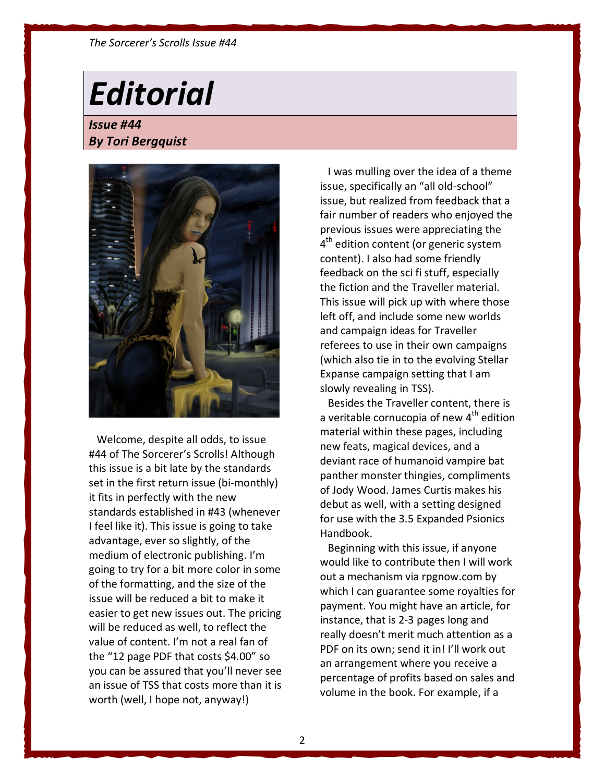#### The Sorcerer's Scrolls Issue #44

## **Editorial**

Issue #44 By Tori Bergquist



 Welcome, despite all odds, to issue #44 of The Sorcerer's Scrolls! Although this issue is a bit late by the standards set in the first return issue (bi-monthly) it fits in perfectly with the new standards established in #43 (whenever I feel like it). This issue is going to take advantage, ever so slightly, of the medium of electronic publishing. I'm going to try for a bit more color in some of the formatting, and the size of the issue will be reduced a bit to make it easier to get new issues out. The pricing will be reduced as well, to reflect the value of content. I'm not a real fan of the "12 page PDF that costs \$4.00" so you can be assured that you'll never see an issue of TSS that costs more than it is worth (well, I hope not, anyway!)

 I was mulling over the idea of a theme issue, specifically an "all old-school" issue, but realized from feedback that a fair number of readers who enjoyed the previous issues were appreciating the 4<sup>th</sup> edition content (or generic system content). I also had some friendly feedback on the sci fi stuff, especially the fiction and the Traveller material. This issue will pick up with where those left off, and include some new worlds and campaign ideas for Traveller referees to use in their own campaigns (which also tie in to the evolving Stellar Expanse campaign setting that I am slowly revealing in TSS).

 Besides the Traveller content, there is a veritable cornucopia of new 4<sup>th</sup> edition material within these pages, including new feats, magical devices, and a deviant race of humanoid vampire bat panther monster thingies, compliments of Jody Wood. James Curtis makes his debut as well, with a setting designed for use with the 3.5 Expanded Psionics Handbook.

 Beginning with this issue, if anyone would like to contribute then I will work out a mechanism via rpgnow.com by which I can guarantee some royalties for payment. You might have an article, for instance, that is 2-3 pages long and really doesn't merit much attention as a PDF on its own; send it in! I'll work out an arrangement where you receive a percentage of profits based on sales and volume in the book. For example, if a